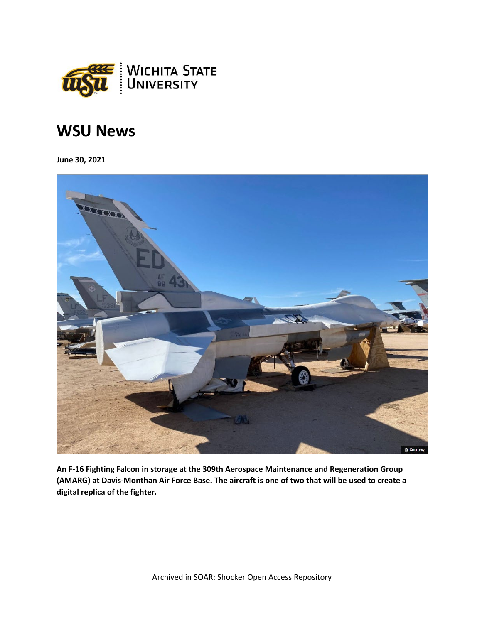

## **WSU News**

**June 30, 2021**



**An F-16 Fighting Falcon in storage at the 309th Aerospace Maintenance and Regeneration Group (AMARG) at Davis-Monthan Air Force Base. The aircraft is one of two that will be used to create a digital replica of the fighter.**

Archived in SOAR: Shocker Open Access Repository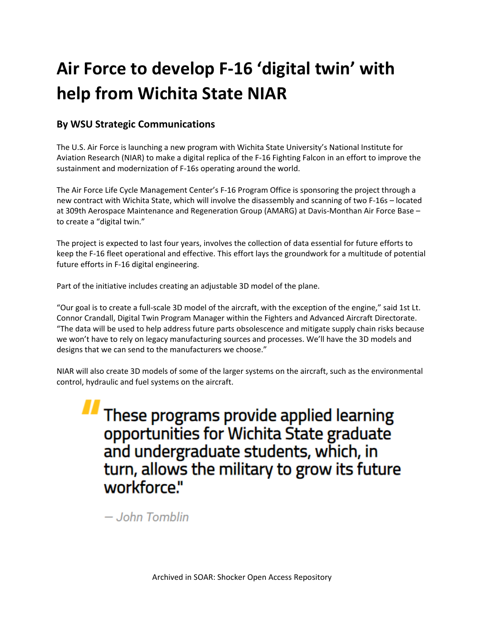## **Air Force to develop F-16 'digital twin' with help from Wichita State NIAR**

## **By WSU Strategic Communications**

The U.S. Air Force is launching a new program with Wichita State University's National Institute for Aviation Research (NIAR) to make a digital replica of the F-16 Fighting Falcon in an effort to improve the sustainment and modernization of F-16s operating around the world.

The Air Force Life Cycle Management Center's F-16 Program Office is sponsoring the project through a new contract with Wichita State, which will involve the disassembly and scanning of two F-16s – located at 309th Aerospace Maintenance and Regeneration Group (AMARG) at Davis-Monthan Air Force Base – to create a "digital twin."

The project is expected to last four years, involves the collection of data essential for future efforts to keep the F-16 fleet operational and effective. This effort lays the groundwork for a multitude of potential future efforts in F-16 digital engineering.

Part of the initiative includes creating an adjustable 3D model of the plane.

"Our goal is to create a full-scale 3D model of the aircraft, with the exception of the engine," said 1st Lt. Connor Crandall, Digital Twin Program Manager within the Fighters and Advanced Aircraft Directorate. "The data will be used to help address future parts obsolescence and mitigate supply chain risks because we won't have to rely on legacy manufacturing sources and processes. We'll have the 3D models and designs that we can send to the manufacturers we choose."

NIAR will also create 3D models of some of the larger systems on the aircraft, such as the environmental control, hydraulic and fuel systems on the aircraft.

*II* These programs provide applied learning opportunities for Wichita State graduate and undergraduate students, which, in turn, allows the military to grow its future workforce."

- John Tomblin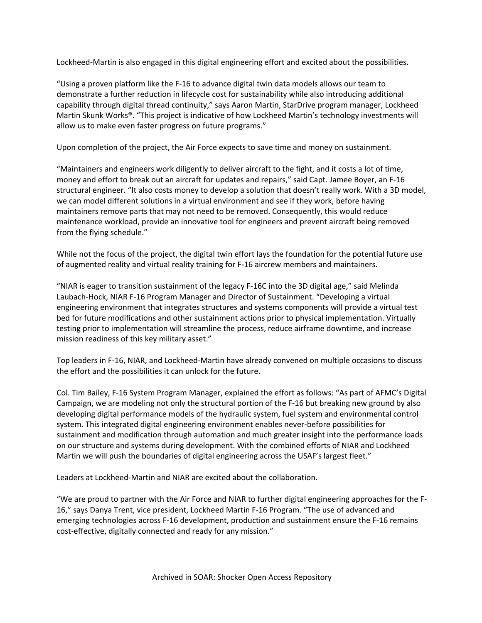Lockheed-Martin is also engaged in this digital engineering effort and excited about the possibilities.

"Using a proven platform like the F-16 to advance digital twin data models allows our team to demonstrate a further reduction in lifecycle cost for sustainability while also introducing additional capability through digital thread continuity," says Aaron Martin, StarDrive program manager, Lockheed Martin Skunk Works®. "This project is indicative of how Lockheed Martin's technology investments will allow us to make even faster progress on future programs."

Upon completion of the project, the Air Force expects to save time and money on sustainment.

"Maintainers and engineers work diligently to deliver aircraft to the fight, and it costs a lot of time, money and effort to break out an aircraft for updates and repairs," said Capt. Jamee Boyer, an F-16 structural engineer. "It also costs money to develop a solution that doesn't really work. With a 3D model, we can model different solutions in a virtual environment and see if they work, before having maintainers remove parts that may not need to be removed. Consequently, this would reduce maintenance workload, provide an innovative tool for engineers and prevent aircraft being removed from the flying schedule."

While not the focus of the project, the digital twin effort lays the foundation for the potential future use of augmented reality and virtual reality training for F-16 aircrew members and maintainers.

"NIAR is eager to transition sustainment of the legacy F-16C into the 3D digital age," said Melinda Laubach-Hock, NIAR F-16 Program Manager and Director of Sustainment. "Developing a virtual engineering environment that integrates structures and systems components will provide a virtual test bed for future modifications and other sustainment actions prior to physical implementation. Virtually testing prior to implementation will streamline the process, reduce airframe downtime, and increase mission readiness of this key military asset."

Top leaders in F-16, NIAR, and Lockheed-Martin have already convened on multiple occasions to discuss the effort and the possibilities it can unlock for the future.

Col. Tim Bailey, F-16 System Program Manager, explained the effort as follows: "As part of AFMC's Digital Campaign, we are modeling not only the structural portion of the F-16 but breaking new ground by also developing digital performance models of the hydraulic system, fuel system and environmental control system. This integrated digital engineering environment enables never-before possibilities for sustainment and modification through automation and much greater insight into the performance loads on our structure and systems during development. With the combined efforts of NIAR and Lockheed Martin we will push the boundaries of digital engineering across the USAF's largest fleet."

Leaders at Lockheed-Martin and NIAR are excited about the collaboration.

"We are proud to partner with the Air Force and NIAR to further digital engineering approaches for the F-16," says Danya Trent, vice president, Lockheed Martin F-16 Program. "The use of advanced and emerging technologies across F-16 development, production and sustainment ensure the F-16 remains cost-effective, digitally connected and ready for any mission."